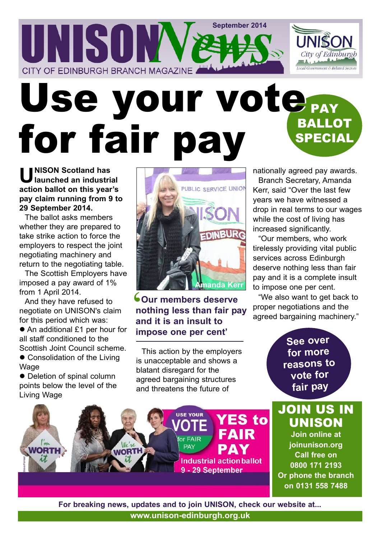### **September 2014** UNISOW City of Edinburgh ocal Government & Related Sect CITY OF EDINBURGH BRANCH MAGAZINE

# Use your vote<sub>rw</sub> BALLOT SPECIAL for fair pay

**U NISON Scotland has launched an industrial action ballot on this year's pay claim running from 9 to 29 September 2014.**

The ballot asks members whether they are prepared to take strike action to force the employers to respect the joint negotiating machinery and return to the negotiating table.

The Scottish Employers have imposed a pay award of 1% from 1 April 2014.

And they have refused to negotiate on UNISON's claim for this period which was:

● An additional £1 per hour for all staff conditioned to the Scottish Joint Council scheme.

• Consolidation of the Living **Wage** 

• Deletion of spinal column points below the level of the Living Wage

**WORTH** 



**Sour members deserve<br>
nothing less than fair p<br>
and it is an insult to<br>
impose one per cent' nothing less than fair pay and it is an insult to impose one per cent'**

This action by the employers is unacceptable and shows a blatant disregard for the agreed bargaining structures and threatens the future of

nationally agreed pay awards.

Branch Secretary, Amanda Kerr, said "Over the last few years we have witnessed a drop in real terms to our wages while the cost of living has increased significantly.

"Our members, who work tirelessly providing vital public services across Edinburgh deserve nothing less than fair pay and it is a complete insult to impose one per cent.

"We also want to get back to proper negotiations and the agreed bargaining machinery."

> **See over for more reasons to vote for fair pay**

JOIN US IN UNISON **Join online at joinunison.org**

**ES to** 

**FAIR** 

**Industrial action ballot** 

9 - 29 September

**Call free on 0800 171 2193 Or phone the branch on 0131 558 7488**

**www.unison-edinburgh.org.uk For breaking news, updates and to join UNISON, check our website at...**

for FAIR

**PAY**